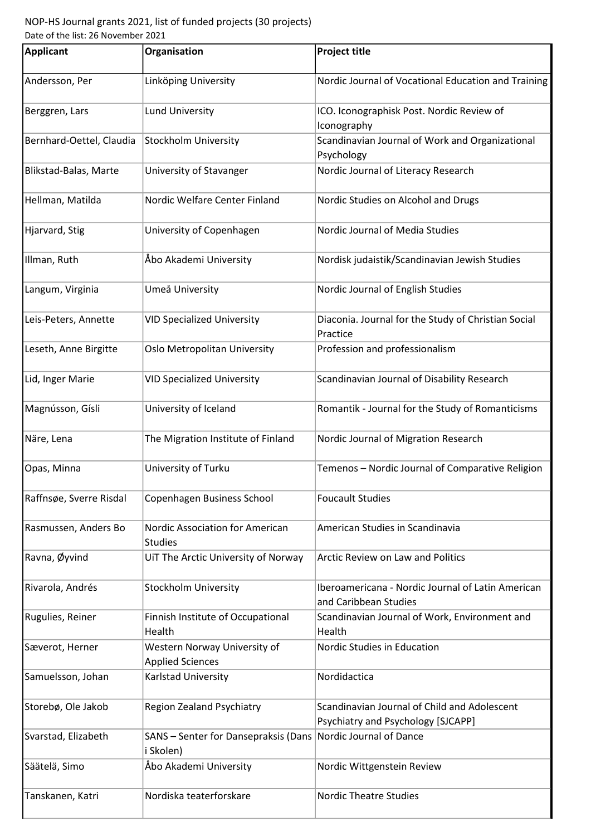## NOP-HS Journal grants 2021, list of funded projects (30 projects) Date of the list: 26 November 2021

| <b>Applicant</b>         | Organisation                                            | <b>Project title</b>                                                               |
|--------------------------|---------------------------------------------------------|------------------------------------------------------------------------------------|
| Andersson, Per           | Linköping University                                    | Nordic Journal of Vocational Education and Training                                |
| Berggren, Lars           | <b>Lund University</b>                                  | ICO. Iconographisk Post. Nordic Review of<br>Iconography                           |
| Bernhard-Oettel, Claudia | <b>Stockholm University</b>                             | Scandinavian Journal of Work and Organizational<br>Psychology                      |
| Blikstad-Balas, Marte    | University of Stavanger                                 | Nordic Journal of Literacy Research                                                |
| Hellman, Matilda         | Nordic Welfare Center Finland                           | Nordic Studies on Alcohol and Drugs                                                |
| Hjarvard, Stig           | University of Copenhagen                                | Nordic Journal of Media Studies                                                    |
| Illman, Ruth             | Åbo Akademi University                                  | Nordisk judaistik/Scandinavian Jewish Studies                                      |
| Langum, Virginia         | Umeå University                                         | Nordic Journal of English Studies                                                  |
| Leis-Peters, Annette     | <b>VID Specialized University</b>                       | Diaconia. Journal for the Study of Christian Social<br>Practice                    |
| Leseth, Anne Birgitte    | Oslo Metropolitan University                            | Profession and professionalism                                                     |
| Lid, Inger Marie         | <b>VID Specialized University</b>                       | Scandinavian Journal of Disability Research                                        |
| Magnússon, Gísli         | University of Iceland                                   | Romantik - Journal for the Study of Romanticisms                                   |
| Näre, Lena               | The Migration Institute of Finland                      | Nordic Journal of Migration Research                                               |
| Opas, Minna              | University of Turku                                     | Temenos - Nordic Journal of Comparative Religion                                   |
| Raffnsøe, Sverre Risdal  | Copenhagen Business School                              | <b>Foucault Studies</b>                                                            |
| Rasmussen, Anders Bo     | Nordic Association for American<br><b>Studies</b>       | American Studies in Scandinavia                                                    |
| Ravna, Øyvind            | UiT The Arctic University of Norway                     | <b>Arctic Review on Law and Politics</b>                                           |
| Rivarola, Andrés         | <b>Stockholm University</b>                             | Iberoamericana - Nordic Journal of Latin American<br>and Caribbean Studies         |
| Rugulies, Reiner         | Finnish Institute of Occupational<br>Health             | Scandinavian Journal of Work, Environment and<br>Health                            |
| Sæverot, Herner          | Western Norway University of<br><b>Applied Sciences</b> | Nordic Studies in Education                                                        |
| Samuelsson, Johan        | Karlstad University                                     | Nordidactica                                                                       |
| Storebø, Ole Jakob       | <b>Region Zealand Psychiatry</b>                        | Scandinavian Journal of Child and Adolescent<br>Psychiatry and Psychology [SJCAPP] |
| Svarstad, Elizabeth      | SANS - Senter for Dansepraksis (Dans<br>i Skolen)       | Nordic Journal of Dance                                                            |
| Säätelä, Simo            | Åbo Akademi University                                  | Nordic Wittgenstein Review                                                         |
| Tanskanen, Katri         | Nordiska teaterforskare                                 | <b>Nordic Theatre Studies</b>                                                      |